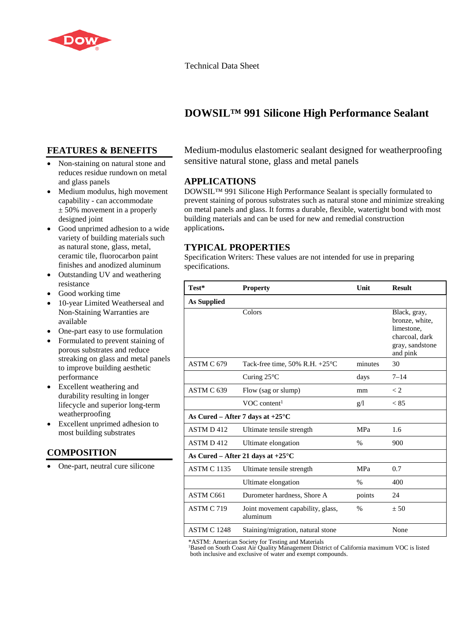

Technical Data Sheet

# **DOWSIL™ 991 Silicone High Performance Sealant**

## **FEATURES & BENEFITS**

- Non-staining on natural stone and reduces residue rundown on metal and glass panels
- Medium modulus, high movement capability - can accommodate  $\pm$  50% movement in a properly designed joint
- Good unprimed adhesion to a wide variety of building materials such as natural stone, glass, metal, ceramic tile, fluorocarbon paint finishes and anodized aluminum
- Outstanding UV and weathering resistance
- Good working time
- 10-year Limited Weatherseal and Non-Staining Warranties are available
- One-part easy to use formulation
- Formulated to prevent staining of porous substrates and reduce streaking on glass and metal panels to improve building aesthetic performance
- Excellent weathering and durability resulting in longer lifecycle and superior long-term weatherproofing
- Excellent unprimed adhesion to most building substrates

## **COMPOSITION**

• One-part, neutral cure silicone

Medium-modulus elastomeric sealant designed for weatherproofing sensitive natural stone, glass and metal panels

## **APPLICATIONS**

DOWSIL™ 991 Silicone High Performance Sealant is specially formulated to prevent staining of porous substrates such as natural stone and minimize streaking on metal panels and glass. It forms a durable, flexible, watertight bond with most building materials and can be used for new and remedial construction applications**.**

## **TYPICAL PROPERTIES**

Specification Writers: These values are not intended for use in preparing specifications.

| Test*                                       | <b>Property</b>                               | Unit       | <b>Result</b>                                                                                 |
|---------------------------------------------|-----------------------------------------------|------------|-----------------------------------------------------------------------------------------------|
| <b>As Supplied</b>                          |                                               |            |                                                                                               |
|                                             | Colors                                        |            | Black, gray,<br>bronze, white,<br>limestone,<br>charcoal, dark<br>gray, sandstone<br>and pink |
| ASTM C 679                                  | Tack-free time, 50% R.H. $+25^{\circ}$ C      | minutes    | 30                                                                                            |
|                                             | Curing $25^{\circ}$ C                         | days       | $7 - 14$                                                                                      |
| ASTM C 639                                  | Flow (sag or slump)                           | mm         | $\lt 2$                                                                                       |
|                                             | VOC content <sup>1</sup>                      | g/l        | < 85                                                                                          |
| As Cured – After 7 days at $+25^{\circ}$ C  |                                               |            |                                                                                               |
| ASTM D412                                   | Ultimate tensile strength                     | <b>MPa</b> | 1.6                                                                                           |
| ASTM D412                                   | Ultimate elongation                           | $\%$       | 900                                                                                           |
| As Cured – After 21 days at $+25^{\circ}$ C |                                               |            |                                                                                               |
| <b>ASTM C 1135</b>                          | Ultimate tensile strength                     | MPa        | 0.7                                                                                           |
|                                             | Ultimate elongation                           | $\%$       | 400                                                                                           |
| ASTM C661                                   | Durometer hardness, Shore A                   | points     | 24                                                                                            |
| ASTM C 719                                  | Joint movement capability, glass,<br>aluminum | $\%$       | $+50$                                                                                         |
| <b>ASTM C 1248</b>                          | Staining/migration, natural stone             |            | None                                                                                          |

\*ASTM: American Society for Testing and Materials

<sup>1</sup>Based on South Coast Air Quality Management District of California maximum VOC is listed both inclusive and exclusive of water and exempt compounds.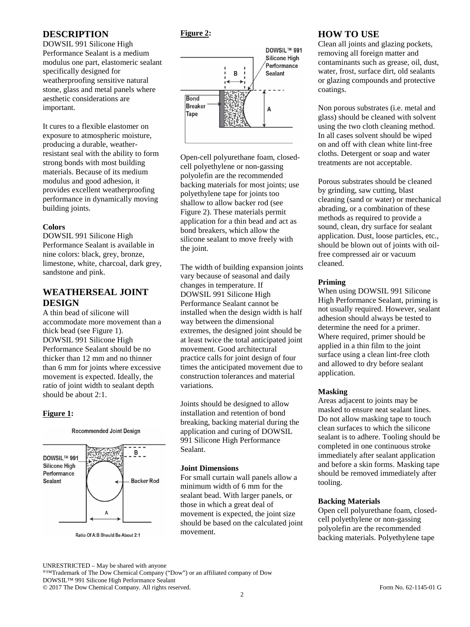## **DESCRIPTION**

DOWSIL 991 Silicone High Performance Sealant is a medium modulus one part, elastomeric sealant specifically designed for weatherproofing sensitive natural stone, glass and metal panels where aesthetic considerations are important.

It cures to a flexible elastomer on exposure to atmospheric moisture, producing a durable, weatherresistant seal with the ability to form strong bonds with most building materials. Because of its medium modulus and good adhesion, it provides excellent weatherproofing performance in dynamically moving building joints.

### **Colors**

DOWSIL 991 Silicone High Performance Sealant is available in nine colors: black, grey, bronze, limestone, white, charcoal, dark grey, sandstone and pink.

## **WEATHERSEAL JOINT DESIGN**

A thin bead of silicone will accommodate more movement than a thick bead (see Figure 1). DOWSIL 991 Silicone High Performance Sealant should be no thicker than 12 mm and no thinner than 6 mm for joints where excessive movement is expected. Ideally, the ratio of joint width to sealant depth should be about 2:1.

### **Figure 1:**



**Recommended Joint Design** 

Ratio Of A.B Should Be About 2:1

## **Figure 2:**



Open-cell polyurethane foam, closedcell polyethylene or non-gassing polyolefin are the recommended backing materials for most joints; use polyethylene tape for joints too shallow to allow backer rod (see Figure 2). These materials permit application for a thin bead and act as bond breakers, which allow the silicone sealant to move freely with the joint.

The width of building expansion joints vary because of seasonal and daily changes in temperature. If DOWSIL 991 Silicone High Performance Sealant cannot be installed when the design width is half way between the dimensional extremes, the designed joint should be at least twice the total anticipated joint movement. Good architectural practice calls for joint design of four times the anticipated movement due to construction tolerances and material variations.

Joints should be designed to allow installation and retention of bond breaking, backing material during the application and curing of DOWSIL 991 Silicone High Performance Sealant.

#### **Joint Dimensions**

For small curtain wall panels allow a minimum width of 6 mm for the sealant bead. With larger panels, or those in which a great deal of movement is expected, the joint size should be based on the calculated joint movement.

## **HOW TO USE**

Clean all joints and glazing pockets, removing all foreign matter and contaminants such as grease, oil, dust, water, frost, surface dirt, old sealants or glazing compounds and protective coatings.

Non porous substrates (i.e. metal and glass) should be cleaned with solvent using the two cloth cleaning method. In all cases solvent should be wiped on and off with clean white lint-free cloths. Detergent or soap and water treatments are not acceptable.

Porous substrates should be cleaned by grinding, saw cutting, blast cleaning (sand or water) or mechanical abrading, or a combination of these methods as required to provide a sound, clean, dry surface for sealant application. Dust, loose particles, etc., should be blown out of joints with oilfree compressed air or vacuum cleaned.

#### **Priming**

When using DOWSIL 991 Silicone High Performance Sealant, priming is not usually required. However, sealant adhesion should always be tested to determine the need for a primer. Where required, primer should be applied in a thin film to the joint surface using a clean lint-free cloth and allowed to dry before sealant application.

### **Masking**

Areas adjacent to joints may be masked to ensure neat sealant lines. Do not allow masking tape to touch clean surfaces to which the silicone sealant is to adhere. Tooling should be completed in one continuous stroke immediately after sealant application and before a skin forms. Masking tape should be removed immediately after tooling.

#### **Backing Materials**

Open cell polyurethane foam, closedcell polyethylene or non-gassing polyolefin are the recommended backing materials. Polyethylene tape

UNRESTRICTED – May be shared with anyone

®™Trademark of The Dow Chemical Company ("Dow") or an affiliated company of Dow DOWSIL™ 991 Silicone High Performance Sealant

© 2017 The Dow Chemical Company. All rights reserved. Form No. 62-1145-01 G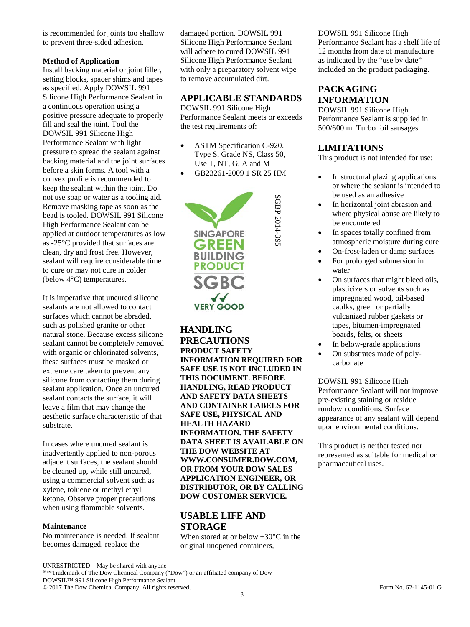is recommended for joints too shallow to prevent three-sided adhesion.

#### **Method of Application**

Install backing material or joint filler, setting blocks, spacer shims and tapes as specified. Apply DOWSIL 991 Silicone High Performance Sealant in a continuous operation using a positive pressure adequate to properly fill and seal the joint. Tool the DOWSIL 991 Silicone High Performance Sealant with light pressure to spread the sealant against backing material and the joint surfaces before a skin forms. A tool with a convex profile is recommended to keep the sealant within the joint. Do not use soap or water as a tooling aid. Remove masking tape as soon as the bead is tooled. DOWSIL 991 Silicone High Performance Sealant can be applied at outdoor temperatures as low as -25°C provided that surfaces are clean, dry and frost free. However, sealant will require considerable time to cure or may not cure in colder (below 4°C) temperatures.

It is imperative that uncured silicone sealants are not allowed to contact surfaces which cannot be abraded, such as polished granite or other natural stone. Because excess silicone sealant cannot be completely removed with organic or chlorinated solvents, these surfaces must be masked or extreme care taken to prevent any silicone from contacting them during sealant application. Once an uncured sealant contacts the surface, it will leave a film that may change the aesthetic surface characteristic of that substrate.

In cases where uncured sealant is inadvertently applied to non-porous adjacent surfaces, the sealant should be cleaned up, while still uncured, using a commercial solvent such as xylene, toluene or methyl ethyl ketone. Observe proper precautions when using flammable solvents.

#### **Maintenance**

No maintenance is needed. If sealant becomes damaged, replace the

damaged portion. DOWSIL 991 Silicone High Performance Sealant will adhere to cured DOWSIL 991 Silicone High Performance Sealant with only a preparatory solvent wipe to remove accumulated dirt.

## **APPLICABLE STANDARDS**

DOWSIL 991 Silicone High Performance Sealant meets or exceeds the test requirements of:

- ASTM Specification C-920. Type S, Grade NS, Class 50, Use T, NT, G, A and M
- GB23261-2009 1 SR 25 HM

SGBP 2014-39: SGBP 2014-395



**HANDLING PRECAUTIONS PRODUCT SAFETY INFORMATION REQUIRED FOR SAFE USE IS NOT INCLUDED IN THIS DOCUMENT. BEFORE HANDLING, READ PRODUCT AND SAFETY DATA SHEETS AND CONTAINER LABELS FOR SAFE USE, PHYSICAL AND HEALTH HAZARD INFORMATION. THE SAFETY DATA SHEET IS AVAILABLE ON THE DOW WEBSITE AT WWW.CONSUMER.DOW.COM, OR FROM YOUR DOW SALES APPLICATION ENGINEER, OR DISTRIBUTOR, OR BY CALLING DOW CUSTOMER SERVICE.**

# **USABLE LIFE AND STORAGE**

When stored at or below  $+30^{\circ}$ C in the original unopened containers,

#### DOWSIL 991 Silicone High

Performance Sealant has a shelf life of 12 months from date of manufacture as indicated by the "use by date" included on the product packaging.

# **PACKAGING INFORMATION**

DOWSIL 991 Silicone High Performance Sealant is supplied in 500/600 ml Turbo foil sausages.

## **LIMITATIONS**

This product is not intended for use:

- In structural glazing applications or where the sealant is intended to be used as an adhesive
- In horizontal joint abrasion and where physical abuse are likely to be encountered
- In spaces totally confined from atmospheric moisture during cure
- On-frost-laden or damp surfaces
- For prolonged submersion in water
- On surfaces that might bleed oils, plasticizers or solvents such as impregnated wood, oil-based caulks, green or partially vulcanized rubber gaskets or tapes, bitumen-impregnated boards, felts, or sheets
- In below-grade applications
- On substrates made of polycarbonate

DOWSIL 991 Silicone High Performance Sealant will not improve pre-existing staining or residue rundown conditions. Surface appearance of any sealant will depend upon environmental conditions.

This product is neither tested nor represented as suitable for medical or pharmaceutical uses.

®™Trademark of The Dow Chemical Company ("Dow") or an affiliated company of Dow DOWSIL™ 991 Silicone High Performance Sealant

© 2017 The Dow Chemical Company. All rights reserved. Form No. 62-1145-01 G

UNRESTRICTED – May be shared with anyone